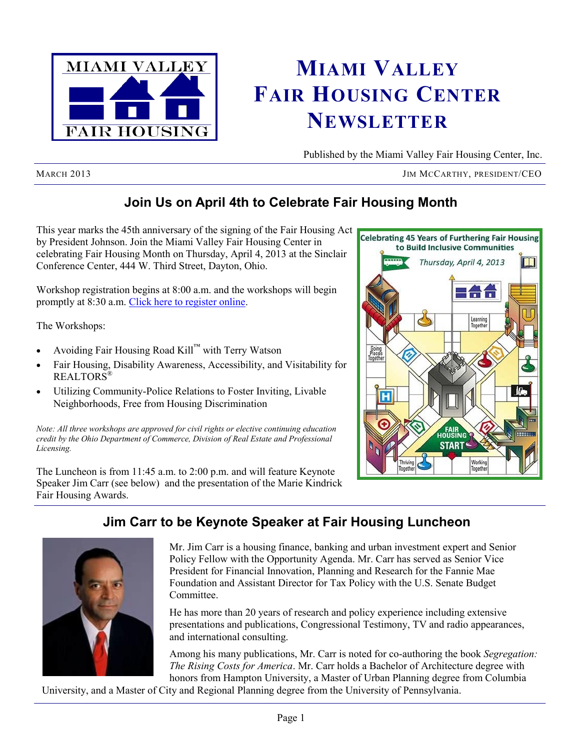

# **MIAMI VALLEY FAIR HOUSING CENTER NEWSLETTER**

Published by the Miami Valley Fair Housing Center, Inc.

MARCH 2013 JIM MCCARTHY, PRESIDENT/CEO

# **Join Us on April 4th to Celebrate Fair Housing Month**

This year marks the 45th anniversary of the signing of the Fair Housing Act by President Johnson. Join the Miami Valley Fair Housing Center in celebrating Fair Housing Month on Thursday, April 4, 2013 at the Sinclair Conference Center, 444 W. Third Street, Dayton, Ohio.

Workshop registration begins at 8:00 a.m. and the workshops will begin promptly at 8:30 a.m. [Click here to register online.](http://www.mvfairhousing.com/fhmonth2013/)

The Workshops:

- Avoiding Fair Housing Road Kill™ with Terry Watson
- Fair Housing, Disability Awareness, Accessibility, and Visitability for REALTORS®
- Utilizing Community-Police Relations to Foster Inviting, Livable Neighborhoods, Free from Housing Discrimination

*Note: All three workshops are approved for civil rights or elective continuing education credit by the Ohio Department of Commerce, Division of Real Estate and Professional Licensing.* 

The Luncheon is from 11:45 a.m. to 2:00 p.m. and will feature Keynote Speaker Jim Carr (see below) and the presentation of the Marie Kindrick Fair Housing Awards.



## **Jim Carr to be Keynote Speaker at Fair Housing Luncheon**



Mr. Jim Carr is a housing finance, banking and urban investment expert and Senior Policy Fellow with the Opportunity Agenda. Mr. Carr has served as Senior Vice President for Financial Innovation, Planning and Research for the Fannie Mae Foundation and Assistant Director for Tax Policy with the U.S. Senate Budget **Committee** 

He has more than 20 years of research and policy experience including extensive presentations and publications, Congressional Testimony, TV and radio appearances, and international consulting.

Among his many publications, Mr. Carr is noted for co-authoring the book *Segregation: The Rising Costs for America*. Mr. Carr holds a Bachelor of Architecture degree with honors from Hampton University, a Master of Urban Planning degree from Columbia

University, and a Master of City and Regional Planning degree from the University of Pennsylvania.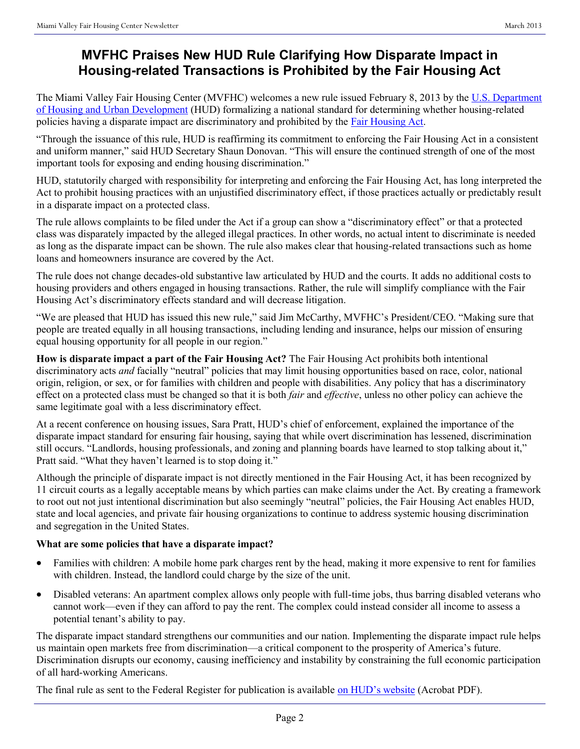### **MVFHC Praises New HUD Rule Clarifying How Disparate Impact in Housing-related Transactions is Prohibited by the Fair Housing Act**

The Miami Valley Fair Housing Center (MVFHC) welcomes a new rule issued February 8, 2013 by the [U.S. Department](http://www.hud.gov/)  [of Housing and Urban Development](http://www.hud.gov/) (HUD) formalizing a national standard for determining whether housing-related policies having a disparate impact are discriminatory and prohibited by the [Fair Housing Act.](http://portal.hud.gov/hudportal/HUD?src=/program_offices/fair_housing_equal_opp/FHLaws/yourrights)

"Through the issuance of this rule, HUD is reaffirming its commitment to enforcing the Fair Housing Act in a consistent and uniform manner," said HUD Secretary Shaun Donovan. "This will ensure the continued strength of one of the most important tools for exposing and ending housing discrimination."

HUD, statutorily charged with responsibility for interpreting and enforcing the Fair Housing Act, has long interpreted the Act to prohibit housing practices with an unjustified discriminatory effect, if those practices actually or predictably result in a disparate impact on a protected class.

The rule allows complaints to be filed under the Act if a group can show a "discriminatory effect" or that a protected class was disparately impacted by the alleged illegal practices. In other words, no actual intent to discriminate is needed as long as the disparate impact can be shown. The rule also makes clear that housing-related transactions such as home loans and homeowners insurance are covered by the Act.

The rule does not change decades-old substantive law articulated by HUD and the courts. It adds no additional costs to housing providers and others engaged in housing transactions. Rather, the rule will simplify compliance with the Fair Housing Act's discriminatory effects standard and will decrease litigation.

"We are pleased that HUD has issued this new rule," said Jim McCarthy, MVFHC's President/CEO. "Making sure that people are treated equally in all housing transactions, including lending and insurance, helps our mission of ensuring equal housing opportunity for all people in our region."

**How is disparate impact a part of the Fair Housing Act?** The Fair Housing Act prohibits both intentional discriminatory acts *and* facially "neutral" policies that may limit housing opportunities based on race, color, national origin, religion, or sex, or for families with children and people with disabilities. Any policy that has a discriminatory effect on a protected class must be changed so that it is both *fair* and *effective*, unless no other policy can achieve the same legitimate goal with a less discriminatory effect.

At a recent conference on housing issues, Sara Pratt, HUD's chief of enforcement, explained the importance of the disparate impact standard for ensuring fair housing, saying that while overt discrimination has lessened, discrimination still occurs. "Landlords, housing professionals, and zoning and planning boards have learned to stop talking about it," Pratt said. "What they haven't learned is to stop doing it."

Although the principle of disparate impact is not directly mentioned in the Fair Housing Act, it has been recognized by 11 circuit courts as a legally acceptable means by which parties can make claims under the Act. By creating a framework to root out not just intentional discrimination but also seemingly "neutral" policies, the Fair Housing Act enables HUD, state and local agencies, and private fair housing organizations to continue to address systemic housing discrimination and segregation in the United States.

### **What are some policies that have a disparate impact?**

- Families with children: A mobile home park charges rent by the head, making it more expensive to rent for families with children. Instead, the landlord could charge by the size of the unit.
- Disabled veterans: An apartment complex allows only people with full-time jobs, thus barring disabled veterans who cannot work—even if they can afford to pay the rent. The complex could instead consider all income to assess a potential tenant's ability to pay.

The disparate impact standard strengthens our communities and our nation. Implementing the disparate impact rule helps us maintain open markets free from discrimination—a critical component to the prosperity of America's future. Discrimination disrupts our economy, causing inefficiency and instability by constraining the full economic participation of all hard-working Americans.

The final rule as sent to the Federal Register for publication is available [on HUD's website](http://portal.hud.gov/hudportal/documents/huddoc?id=discriminatoryeffectrule.pdf) (Acrobat PDF).